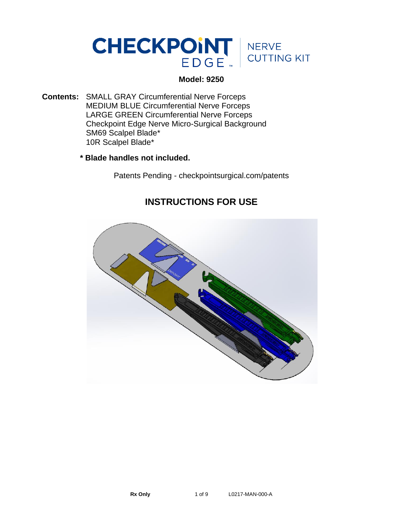

### **Model: 9250**

- **Contents:** SMALL GRAY Circumferential Nerve Forceps MEDIUM BLUE Circumferential Nerve Forceps LARGE GREEN Circumferential Nerve Forceps Checkpoint Edge Nerve Micro-Surgical Background SM69 Scalpel Blade\* 10R Scalpel Blade\*
	- **\* Blade handles not included.**

Patents Pending - checkpointsurgical.com/patents

# **INSTRUCTIONS FOR USE**

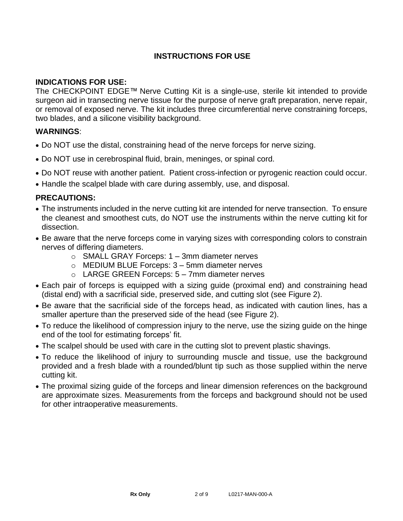## **INSTRUCTIONS FOR USE**

### **INDICATIONS FOR USE:**

The CHECKPOINT EDGE™ Nerve Cutting Kit is a single-use, sterile kit intended to provide surgeon aid in transecting nerve tissue for the purpose of nerve graft preparation, nerve repair, or removal of exposed nerve. The kit includes three circumferential nerve constraining forceps, two blades, and a silicone visibility background.

### **WARNINGS**:

- Do NOT use the distal, constraining head of the nerve forceps for nerve sizing.
- Do NOT use in cerebrospinal fluid, brain, meninges, or spinal cord.
- Do NOT reuse with another patient. Patient cross-infection or pyrogenic reaction could occur.
- Handle the scalpel blade with care during assembly, use, and disposal.

#### **PRECAUTIONS:**

- The instruments included in the nerve cutting kit are intended for nerve transection. To ensure the cleanest and smoothest cuts, do NOT use the instruments within the nerve cutting kit for dissection.
- Be aware that the nerve forceps come in varying sizes with corresponding colors to constrain nerves of differing diameters.
	- o SMALL GRAY Forceps: 1 3mm diameter nerves
	- o MEDIUM BLUE Forceps: 3 5mm diameter nerves
	- $\circ$  LARGE GREEN Forceps:  $5 7$ mm diameter nerves
- Each pair of forceps is equipped with a sizing guide (proximal end) and constraining head (distal end) with a sacrificial side, preserved side, and cutting slot (see Figure 2).
- Be aware that the sacrificial side of the forceps head, as indicated with caution lines, has a smaller aperture than the preserved side of the head (see Figure 2).
- To reduce the likelihood of compression injury to the nerve, use the sizing guide on the hinge end of the tool for estimating forceps' fit.
- The scalpel should be used with care in the cutting slot to prevent plastic shavings.
- To reduce the likelihood of injury to surrounding muscle and tissue, use the background provided and a fresh blade with a rounded/blunt tip such as those supplied within the nerve cutting kit.
- The proximal sizing guide of the forceps and linear dimension references on the background are approximate sizes. Measurements from the forceps and background should not be used for other intraoperative measurements.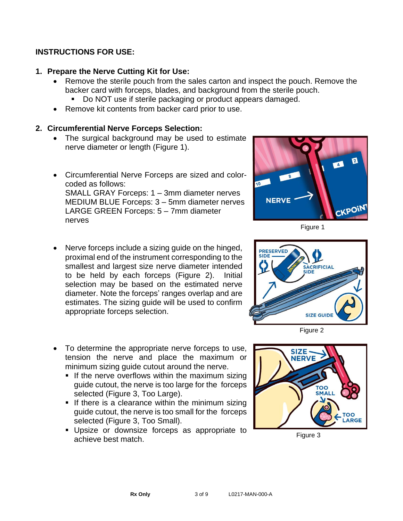## **INSTRUCTIONS FOR USE:**

# **1. Prepare the Nerve Cutting Kit for Use:**

- Remove the sterile pouch from the sales carton and inspect the pouch. Remove the backer card with forceps, blades, and background from the sterile pouch.
	- Do NOT use if sterile packaging or product appears damaged.
- Remove kit contents from backer card prior to use.

# **2. Circumferential Nerve Forceps Selection:**

- The surgical background may be used to estimate nerve diameter or length (Figure 1).
- Circumferential Nerve Forceps are sized and colorcoded as follows: SMALL GRAY Forceps: 1 – 3mm diameter nerves MEDIUM BLUE Forceps: 3 – 5mm diameter nerves LARGE GREEN Forceps: 5 – 7mm diameter nerves
- Nerve forceps include a sizing guide on the hinged, proximal end of the instrument corresponding to the smallest and largest size nerve diameter intended to be held by each forceps (Figure 2). Initial selection may be based on the estimated nerve diameter. Note the forceps' ranges overlap and are estimates. The sizing guide will be used to confirm appropriate forceps selection.
- To determine the appropriate nerve forceps to use, tension the nerve and place the maximum or minimum sizing guide cutout around the nerve.
	- **.** If the nerve overflows within the maximum sizing guide cutout, the nerve is too large for the forceps selected (Figure 3, Too Large).
	- **.** If there is a clearance within the minimum sizing guide cutout, the nerve is too small for the forceps selected (Figure 3, Too Small).
	- **.** Upsize or downsize forceps as appropriate to achieve best match.



Figure 1



Figure 2



Figure 3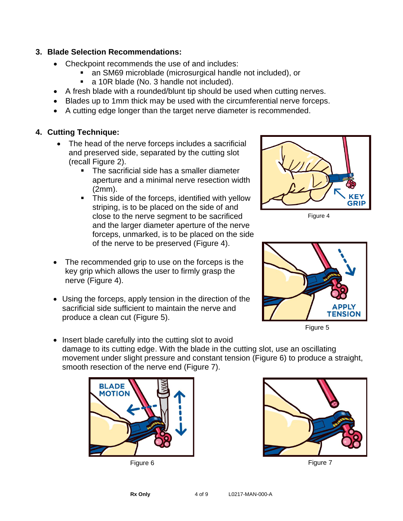### **3. Blade Selection Recommendations:**

- Checkpoint recommends the use of and includes:
	- an SM69 microblade (microsurgical handle not included), or
	- a 10R blade (No. 3 handle not included).
- A fresh blade with a rounded/blunt tip should be used when cutting nerves.
- Blades up to 1mm thick may be used with the circumferential nerve forceps.
- A cutting edge longer than the target nerve diameter is recommended.

# **4. Cutting Technique:**

- The head of the nerve forceps includes a sacrificial and preserved side, separated by the cutting slot (recall Figure 2).
	- The sacrificial side has a smaller diameter aperture and a minimal nerve resection width (2mm).
	- **•** This side of the forceps, identified with yellow striping, is to be placed on the side of and close to the nerve segment to be sacrificed and the larger diameter aperture of the nerve forceps, unmarked, is to be placed on the side of the nerve to be preserved (Figure 4).
- The recommended grip to use on the forceps is the key grip which allows the user to firmly grasp the nerve (Figure 4).
- Using the forceps, apply tension in the direction of the sacrificial side sufficient to maintain the nerve and produce a clean cut (Figure 5).



Figure 4



Figure 5

• Insert blade carefully into the cutting slot to avoid damage to its cutting edge. With the blade in the cutting slot, use an oscillating movement under slight pressure and constant tension (Figure 6) to produce a straight, smooth resection of the nerve end (Figure 7).





Figure 6 **Figure 7** Figure 7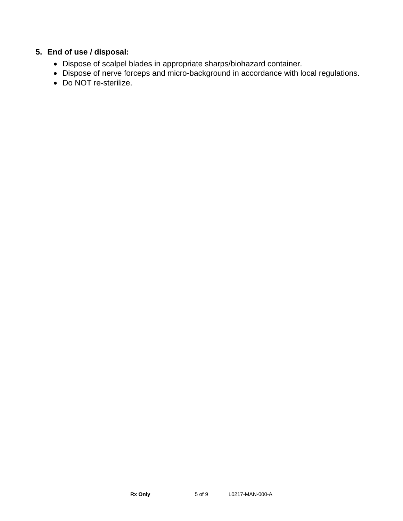# **5. End of use / disposal:**

- Dispose of scalpel blades in appropriate sharps/biohazard container.
- Dispose of nerve forceps and micro-background in accordance with local regulations.
- Do NOT re-sterilize.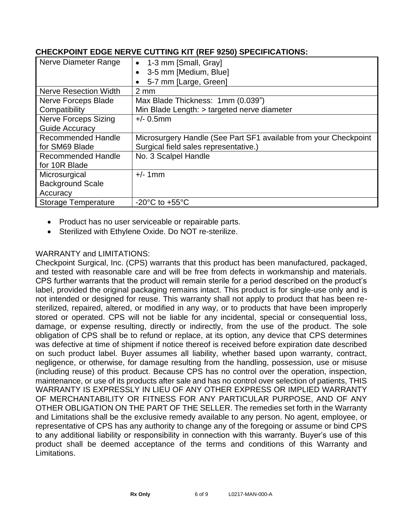| Nerve Diameter Range         | 1-3 mm [Small, Gray]                                             |
|------------------------------|------------------------------------------------------------------|
|                              | 3-5 mm [Medium, Blue]                                            |
|                              | 5-7 mm [Large, Green]                                            |
| <b>Nerve Resection Width</b> | $2 \, \text{mm}$                                                 |
| Nerve Forceps Blade          | Max Blade Thickness: 1mm (0.039")                                |
| Compatibility                | Min Blade Length: > targeted nerve diameter                      |
| <b>Nerve Forceps Sizing</b>  | $+/- 0.5$ mm                                                     |
| Guide Accuracy               |                                                                  |
| Recommended Handle           | Microsurgery Handle (See Part SF1 available from your Checkpoint |
| for SM69 Blade               | Surgical field sales representative.)                            |
| Recommended Handle           | No. 3 Scalpel Handle                                             |
| for 10R Blade                |                                                                  |
| Microsurgical                | $+/-$ 1mm                                                        |
| <b>Background Scale</b>      |                                                                  |
| Accuracy                     |                                                                  |
| <b>Storage Temperature</b>   | $-20^{\circ}$ C to $+55^{\circ}$ C                               |

## **CHECKPOINT EDGE NERVE CUTTING KIT (REF 9250) SPECIFICATIONS:**

- Product has no user serviceable or repairable parts.
- Sterilized with Ethylene Oxide. Do NOT re-sterilize.

# WARRANTY and LIMITATIONS:

Checkpoint Surgical, Inc. (CPS) warrants that this product has been manufactured, packaged, and tested with reasonable care and will be free from defects in workmanship and materials. CPS further warrants that the product will remain sterile for a period described on the product's label, provided the original packaging remains intact. This product is for single-use only and is not intended or designed for reuse. This warranty shall not apply to product that has been resterilized, repaired, altered, or modified in any way, or to products that have been improperly stored or operated. CPS will not be liable for any incidental, special or consequential loss, damage, or expense resulting, directly or indirectly, from the use of the product. The sole obligation of CPS shall be to refund or replace, at its option, any device that CPS determines was defective at time of shipment if notice thereof is received before expiration date described on such product label. Buyer assumes all liability, whether based upon warranty, contract, negligence, or otherwise, for damage resulting from the handling, possession, use or misuse (including reuse) of this product. Because CPS has no control over the operation, inspection, maintenance, or use of its products after sale and has no control over selection of patients, THIS WARRANTY IS EXPRESSLY IN LIEU OF ANY OTHER EXPRESS OR IMPLIED WARRANTY OF MERCHANTABILITY OR FITNESS FOR ANY PARTICULAR PURPOSE, AND OF ANY OTHER OBLIGATION ON THE PART OF THE SELLER. The remedies set forth in the Warranty and Limitations shall be the exclusive remedy available to any person. No agent, employee, or representative of CPS has any authority to change any of the foregoing or assume or bind CPS to any additional liability or responsibility in connection with this warranty. Buyer's use of this product shall be deemed acceptance of the terms and conditions of this Warranty and Limitations.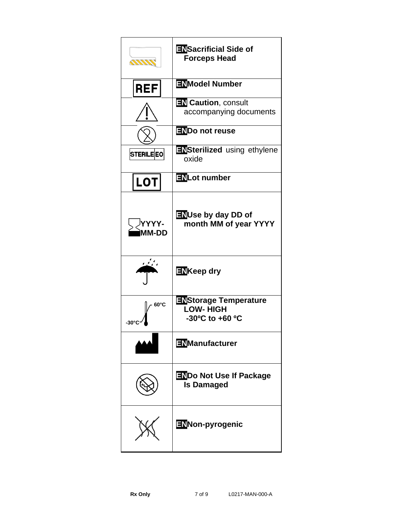| <u>mm</u>        | <b>ENSacrificial Side of</b><br><b>Forceps Head</b>                |
|------------------|--------------------------------------------------------------------|
| <b>REF</b>       | <b>ENModel Number</b>                                              |
|                  | <b>EN</b> Caution, consult<br>accompanying documents               |
|                  | ENDo not reuse                                                     |
| <b>STERILEEO</b> | <b>ENSterilized</b> using ethylene<br>oxide                        |
| <b>LOT</b>       | ENLot number                                                       |
| YYYY-<br>MM-DD   | <b>ENUse by day DD of</b><br>month MM of year YYYY                 |
|                  | <b>EN</b> Keep dry                                                 |
| $60^{\circ}$ C   | <b>ENStorage Temperature</b><br><b>LOW-HIGH</b><br>-30°C to +60 °C |
|                  | <b>ENManufacturer</b>                                              |
|                  | <b>ENDo Not Use If Package</b><br><b>Is Damaged</b>                |
|                  | ENNon-pyrogenic                                                    |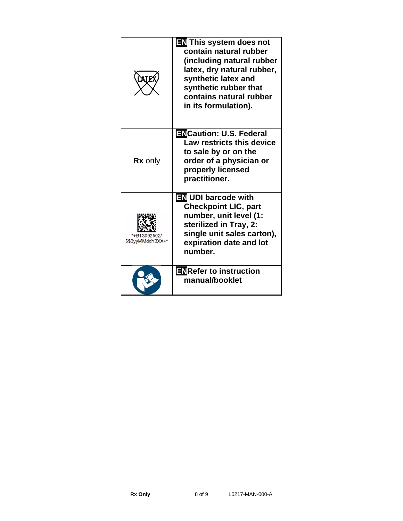| <b>ATE</b>                        | <b>EN</b> This system does not<br>contain natural rubber<br>(including natural rubber<br>latex, dry natural rubber,<br>synthetic latex and<br>synthetic rubber that<br>contains natural rubber<br>in its formulation). |
|-----------------------------------|------------------------------------------------------------------------------------------------------------------------------------------------------------------------------------------------------------------------|
| <b>Rx</b> only                    | <b>ENCaution: U.S. Federal</b><br>Law restricts this device<br>to sale by or on the<br>order of a physician or<br>properly licensed<br>practitioner.                                                                   |
| *+B13092502/<br>\$\$3yyMMddY3XX+* | <b>EN UDI barcode with</b><br><b>Checkpoint LIC, part</b><br>number, unit level (1:<br>sterilized in Tray, 2:<br>single unit sales carton),<br>expiration date and lot<br>number.                                      |
|                                   | <b>ENRefer to instruction</b><br>manual/booklet                                                                                                                                                                        |